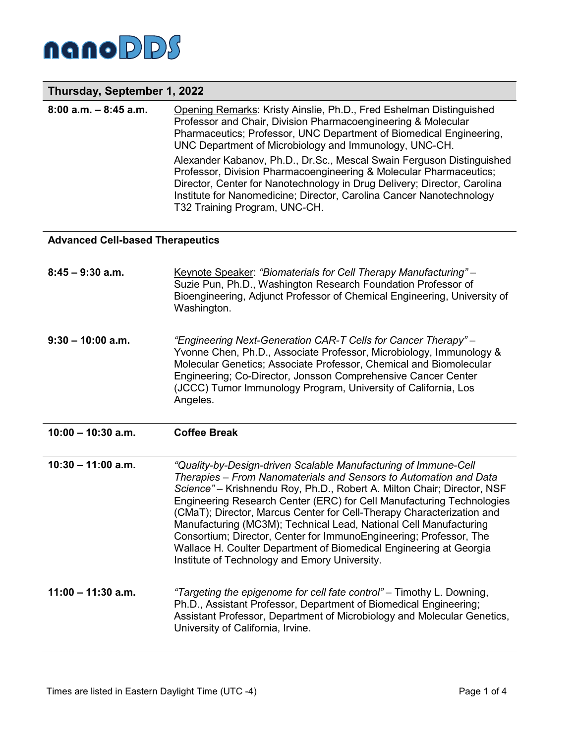

# **Thursday, September 1, 2022**

| $8:00$ a.m. $-8:45$ a.m. | Opening Remarks: Kristy Ainslie, Ph.D., Fred Eshelman Distinguished<br>Professor and Chair, Division Pharmacoengineering & Molecular<br>Pharmaceutics; Professor, UNC Department of Biomedical Engineering,<br>UNC Department of Microbiology and Immunology, UNC-CH.                                                            |
|--------------------------|----------------------------------------------------------------------------------------------------------------------------------------------------------------------------------------------------------------------------------------------------------------------------------------------------------------------------------|
|                          | Alexander Kabanov, Ph.D., Dr.Sc., Mescal Swain Ferguson Distinguished<br>Professor, Division Pharmacoengineering & Molecular Pharmaceutics;<br>Director, Center for Nanotechnology in Drug Delivery; Director, Carolina<br>Institute for Nanomedicine; Director, Carolina Cancer Nanotechnology<br>T32 Training Program, UNC-CH. |

#### **Advanced Cell-based Therapeutics**

| $8:45 - 9:30$ a.m.   | Keynote Speaker: "Biomaterials for Cell Therapy Manufacturing" -<br>Suzie Pun, Ph.D., Washington Research Foundation Professor of<br>Bioengineering, Adjunct Professor of Chemical Engineering, University of<br>Washington.                                                                                                                                                                                                                                                                                                                                                                                                        |
|----------------------|-------------------------------------------------------------------------------------------------------------------------------------------------------------------------------------------------------------------------------------------------------------------------------------------------------------------------------------------------------------------------------------------------------------------------------------------------------------------------------------------------------------------------------------------------------------------------------------------------------------------------------------|
| $9:30 - 10:00$ a.m.  | "Engineering Next-Generation CAR-T Cells for Cancer Therapy" -<br>Yvonne Chen, Ph.D., Associate Professor, Microbiology, Immunology &<br>Molecular Genetics; Associate Professor, Chemical and Biomolecular<br>Engineering; Co-Director, Jonsson Comprehensive Cancer Center<br>(JCCC) Tumor Immunology Program, University of California, Los<br>Angeles.                                                                                                                                                                                                                                                                          |
| $10:00 - 10:30$ a.m. | <b>Coffee Break</b>                                                                                                                                                                                                                                                                                                                                                                                                                                                                                                                                                                                                                 |
|                      |                                                                                                                                                                                                                                                                                                                                                                                                                                                                                                                                                                                                                                     |
| $10:30 - 11:00$ a.m. | "Quality-by-Design-driven Scalable Manufacturing of Immune-Cell<br>Therapies - From Nanomaterials and Sensors to Automation and Data<br>Science" - Krishnendu Roy, Ph.D., Robert A. Milton Chair; Director, NSF<br>Engineering Research Center (ERC) for Cell Manufacturing Technologies<br>(CMaT); Director, Marcus Center for Cell-Therapy Characterization and<br>Manufacturing (MC3M); Technical Lead, National Cell Manufacturing<br>Consortium; Director, Center for ImmunoEngineering; Professor, The<br>Wallace H. Coulter Department of Biomedical Engineering at Georgia<br>Institute of Technology and Emory University. |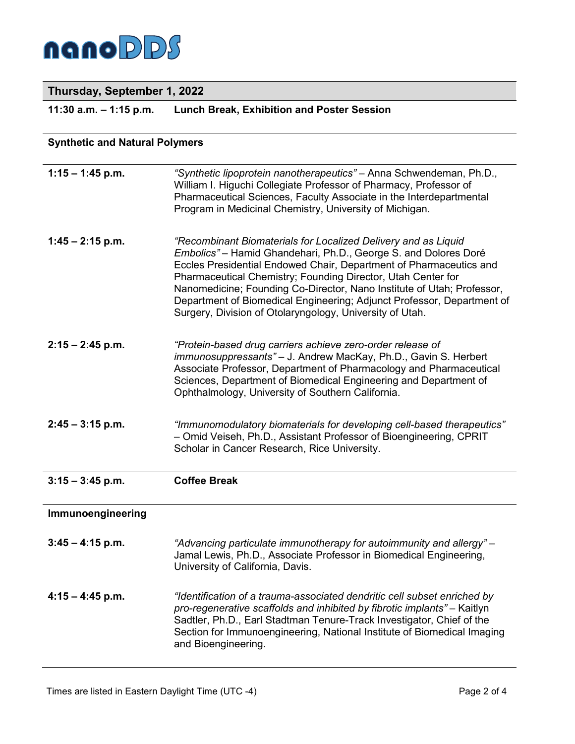

## **Thursday, September 1, 2022**

**11:30 a.m. – 1:15 p.m. Lunch Break, Exhibition and Poster Session**

## **Synthetic and Natural Polymers**

| $1:15 - 1:45$ p.m. | "Synthetic lipoprotein nanotherapeutics" - Anna Schwendeman, Ph.D.,<br>William I. Higuchi Collegiate Professor of Pharmacy, Professor of<br>Pharmaceutical Sciences, Faculty Associate in the Interdepartmental<br>Program in Medicinal Chemistry, University of Michigan.                                                                                                                                                                                                              |
|--------------------|-----------------------------------------------------------------------------------------------------------------------------------------------------------------------------------------------------------------------------------------------------------------------------------------------------------------------------------------------------------------------------------------------------------------------------------------------------------------------------------------|
| $1:45 - 2:15$ p.m. | "Recombinant Biomaterials for Localized Delivery and as Liquid<br>Embolics" - Hamid Ghandehari, Ph.D., George S. and Dolores Doré<br>Eccles Presidential Endowed Chair, Department of Pharmaceutics and<br>Pharmaceutical Chemistry; Founding Director, Utah Center for<br>Nanomedicine; Founding Co-Director, Nano Institute of Utah; Professor,<br>Department of Biomedical Engineering; Adjunct Professor, Department of<br>Surgery, Division of Otolaryngology, University of Utah. |
| $2:15 - 2:45$ p.m. | "Protein-based drug carriers achieve zero-order release of<br>immunosuppressants" - J. Andrew MacKay, Ph.D., Gavin S. Herbert<br>Associate Professor, Department of Pharmacology and Pharmaceutical<br>Sciences, Department of Biomedical Engineering and Department of<br>Ophthalmology, University of Southern California.                                                                                                                                                            |
| $2:45 - 3:15$ p.m. | "Immunomodulatory biomaterials for developing cell-based therapeutics"<br>- Omid Veiseh, Ph.D., Assistant Professor of Bioengineering, CPRIT<br>Scholar in Cancer Research, Rice University.                                                                                                                                                                                                                                                                                            |
| $3:15 - 3:45$ p.m. | <b>Coffee Break</b>                                                                                                                                                                                                                                                                                                                                                                                                                                                                     |
| Immunoengineering  |                                                                                                                                                                                                                                                                                                                                                                                                                                                                                         |
| $3:45 - 4:15$ p.m. | "Advancing particulate immunotherapy for autoimmunity and allergy" -<br>Jamal Lewis, Ph.D., Associate Professor in Biomedical Engineering,<br>University of California, Davis.                                                                                                                                                                                                                                                                                                          |
| $4:15 - 4:45$ p.m. | "Identification of a trauma-associated dendritic cell subset enriched by<br>pro-regenerative scaffolds and inhibited by fibrotic implants" - Kaitlyn<br>Sadtler, Ph.D., Earl Stadtman Tenure-Track Investigator, Chief of the<br>Section for Immunoengineering, National Institute of Biomedical Imaging<br>and Bioengineering.                                                                                                                                                         |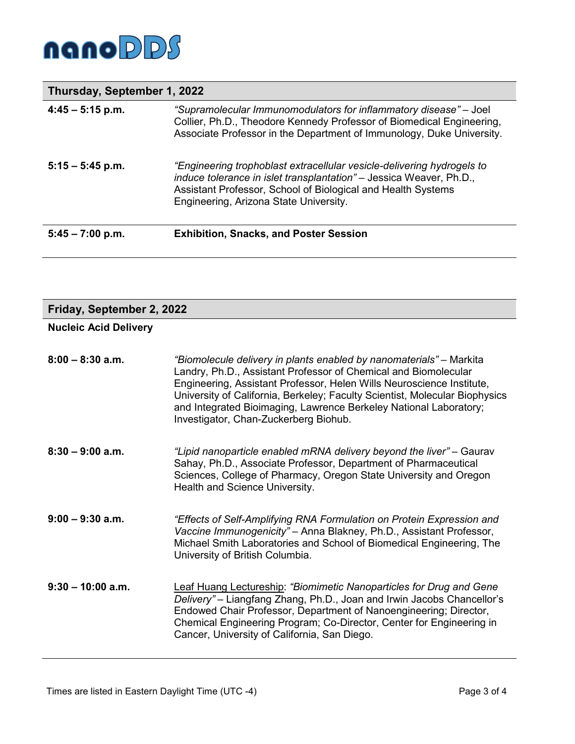

## **Thursday, September 1, 2022**

| $4:45 - 5:15$ p.m. | "Supramolecular Immunomodulators for inflammatory disease" – Joel<br>Collier, Ph.D., Theodore Kennedy Professor of Biomedical Engineering,<br>Associate Professor in the Department of Immunology, Duke University.                                     |
|--------------------|---------------------------------------------------------------------------------------------------------------------------------------------------------------------------------------------------------------------------------------------------------|
| $5:15 - 5:45$ p.m. | "Engineering trophoblast extracellular vesicle-delivering hydrogels to<br>induce tolerance in islet transplantation" - Jessica Weaver, Ph.D.,<br>Assistant Professor, School of Biological and Health Systems<br>Engineering, Arizona State University. |
| $5:45 - 7:00$ p.m. | <b>Exhibition, Snacks, and Poster Session</b>                                                                                                                                                                                                           |

## **Friday, September 2, 2022**

## **Nucleic Acid Delivery**

| $8:00 - 8:30$ a.m.  | "Biomolecule delivery in plants enabled by nanomaterials" - Markita<br>Landry, Ph.D., Assistant Professor of Chemical and Biomolecular<br>Engineering, Assistant Professor, Helen Wills Neuroscience Institute,<br>University of California, Berkeley; Faculty Scientist, Molecular Biophysics<br>and Integrated Bioimaging, Lawrence Berkeley National Laboratory;<br>Investigator, Chan-Zuckerberg Biohub. |
|---------------------|--------------------------------------------------------------------------------------------------------------------------------------------------------------------------------------------------------------------------------------------------------------------------------------------------------------------------------------------------------------------------------------------------------------|
| $8:30 - 9:00$ a.m.  | "Lipid nanoparticle enabled mRNA delivery beyond the liver" – Gaurav<br>Sahay, Ph.D., Associate Professor, Department of Pharmaceutical<br>Sciences, College of Pharmacy, Oregon State University and Oregon<br>Health and Science University.                                                                                                                                                               |
| $9:00 - 9:30$ a.m.  | "Effects of Self-Amplifying RNA Formulation on Protein Expression and<br>Vaccine Immunogenicity" - Anna Blakney, Ph.D., Assistant Professor,<br>Michael Smith Laboratories and School of Biomedical Engineering, The<br>University of British Columbia.                                                                                                                                                      |
| $9:30 - 10:00$ a.m. | Leaf Huang Lectureship: "Biomimetic Nanoparticles for Drug and Gene<br>Delivery" – Liangfang Zhang, Ph.D., Joan and Irwin Jacobs Chancellor's<br>Endowed Chair Professor, Department of Nanoengineering; Director,<br>Chemical Engineering Program; Co-Director, Center for Engineering in<br>Cancer, University of California, San Diego.                                                                   |